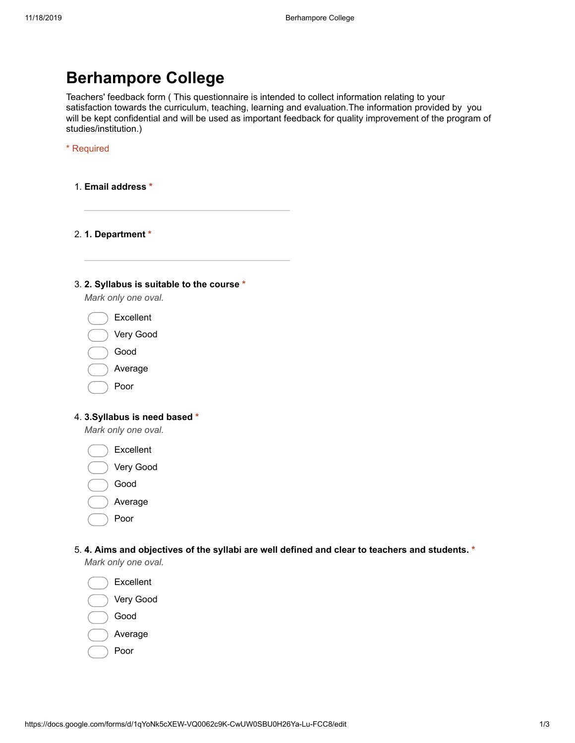## Berhampore College

Teachers' feedback form ( This questionnaire is intended to collect information relating to your satisfaction towards the curriculum, teaching, learning and evaluation.The information provided by you will be kept confidential and will be used as important feedback for quality improvement of the program of studies/institution.)

\* Required

1. Email address \*

2. 1. Department \*

## 3. 2. Syllabus is suitable to the course \*

Mark only one oval.

- Excellent
- Very Good
- Good
- Average
- Poor

## 4. 3.Syllabus is need based \*

Mark only one oval.

- Excellent
- Very Good
- Good
- Average
- Poor
- 5. 4. Aims and objectives of the syllabi are well defined and clear to teachers and students. \* Mark only one oval.
	- Excellent Very Good Good Average Poor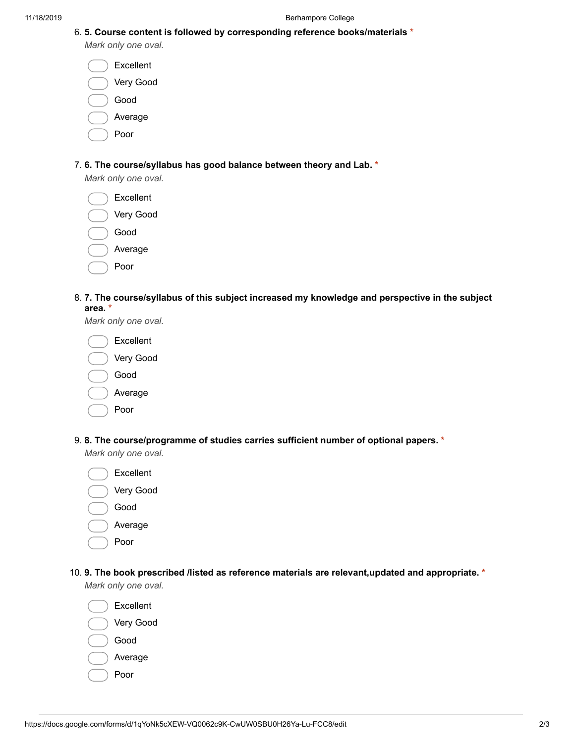|                     |  |  | 6. 5. Course content is followed by corresponding reference books/materials $*$ |  |
|---------------------|--|--|---------------------------------------------------------------------------------|--|
| Mark only one oval. |  |  |                                                                                 |  |

| Excellent |
|-----------|
| Very Good |
| Good      |
| Average   |
|           |

Poor

## 7. 6. The course/syllabus has good balance between theory and Lab. \*

Mark only one oval.

Excellent

|  | Verv Good |
|--|-----------|
|  |           |

- Good
- Average
- Poor
- 8. 7. The course/syllabus of this subject increased my knowledge and perspective in the subject area. \*

Mark only one oval.

| Excellent |
|-----------|
| Very Good |
| Good      |
| Average   |
| Poor      |

9. 8. The course/programme of studies carries sufficient number of optional papers. \*

Mark only one oval.

- Excellent Very Good Good Average
	- Poor
- 10. 9. The book prescribed /listed as reference materials are relevant,updated and appropriate. \*

Mark only one oval.